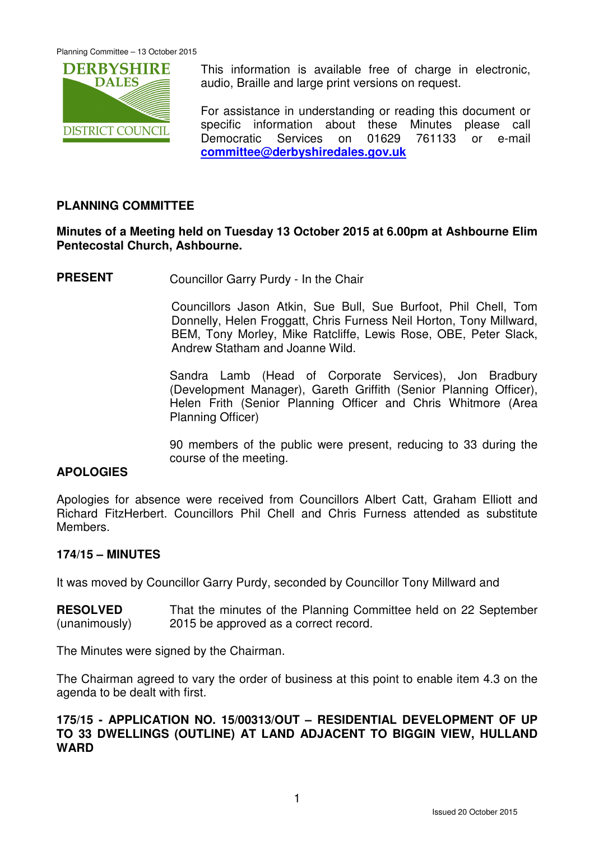

This information is available free of charge in electronic, audio, Braille and large print versions on request.

For assistance in understanding or reading this document or specific information about these Minutes please call Democratic Services on 01629 761133 or e-mail **committee@derbyshiredales.gov.uk**

# **PLANNING COMMITTEE**

# **Minutes of a Meeting held on Tuesday 13 October 2015 at 6.00pm at Ashbourne Elim Pentecostal Church, Ashbourne.**

**PRESENT** Councillor Garry Purdy - In the Chair

 Councillors Jason Atkin, Sue Bull, Sue Burfoot, Phil Chell, Tom Donnelly, Helen Froggatt, Chris Furness Neil Horton, Tony Millward, BEM, Tony Morley, Mike Ratcliffe, Lewis Rose, OBE, Peter Slack, Andrew Statham and Joanne Wild.

Sandra Lamb (Head of Corporate Services), Jon Bradbury (Development Manager), Gareth Griffith (Senior Planning Officer), Helen Frith (Senior Planning Officer and Chris Whitmore (Area Planning Officer)

90 members of the public were present, reducing to 33 during the course of the meeting.

## **APOLOGIES**

Apologies for absence were received from Councillors Albert Catt, Graham Elliott and Richard FitzHerbert. Councillors Phil Chell and Chris Furness attended as substitute Members.

#### **174/15 – MINUTES**

It was moved by Councillor Garry Purdy, seconded by Councillor Tony Millward and

**RESOLVED** (unanimously) That the minutes of the Planning Committee held on 22 September 2015 be approved as a correct record.

The Minutes were signed by the Chairman.

The Chairman agreed to vary the order of business at this point to enable item 4.3 on the agenda to be dealt with first.

## **175/15 - APPLICATION NO. 15/00313/OUT – RESIDENTIAL DEVELOPMENT OF UP TO 33 DWELLINGS (OUTLINE) AT LAND ADJACENT TO BIGGIN VIEW, HULLAND WARD**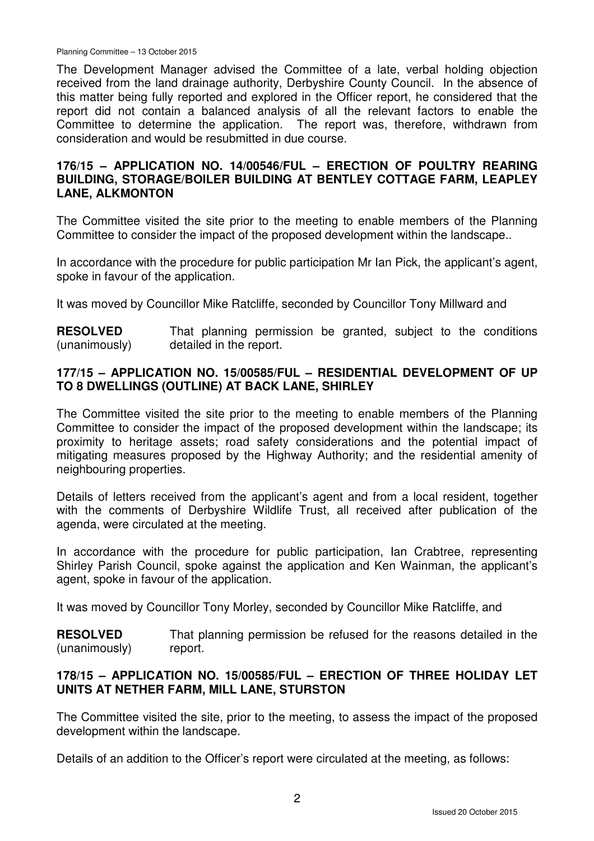Planning Committee – 13 October 2015

The Development Manager advised the Committee of a late, verbal holding objection received from the land drainage authority, Derbyshire County Council. In the absence of this matter being fully reported and explored in the Officer report, he considered that the report did not contain a balanced analysis of all the relevant factors to enable the Committee to determine the application. The report was, therefore, withdrawn from consideration and would be resubmitted in due course.

# **176/15 – APPLICATION NO. 14/00546/FUL – ERECTION OF POULTRY REARING BUILDING, STORAGE/BOILER BUILDING AT BENTLEY COTTAGE FARM, LEAPLEY LANE, ALKMONTON**

The Committee visited the site prior to the meeting to enable members of the Planning Committee to consider the impact of the proposed development within the landscape..

In accordance with the procedure for public participation Mr Ian Pick, the applicant's agent, spoke in favour of the application.

It was moved by Councillor Mike Ratcliffe, seconded by Councillor Tony Millward and

**RESOLVED** (unanimously) That planning permission be granted, subject to the conditions detailed in the report.

# **177/15 – APPLICATION NO. 15/00585/FUL – RESIDENTIAL DEVELOPMENT OF UP TO 8 DWELLINGS (OUTLINE) AT BACK LANE, SHIRLEY**

The Committee visited the site prior to the meeting to enable members of the Planning Committee to consider the impact of the proposed development within the landscape; its proximity to heritage assets; road safety considerations and the potential impact of mitigating measures proposed by the Highway Authority; and the residential amenity of neighbouring properties.

Details of letters received from the applicant's agent and from a local resident, together with the comments of Derbyshire Wildlife Trust, all received after publication of the agenda, were circulated at the meeting.

In accordance with the procedure for public participation, Ian Crabtree, representing Shirley Parish Council, spoke against the application and Ken Wainman, the applicant's agent, spoke in favour of the application.

It was moved by Councillor Tony Morley, seconded by Councillor Mike Ratcliffe, and

**RESOLVED** (unanimously) That planning permission be refused for the reasons detailed in the report.

# **178/15 – APPLICATION NO. 15/00585/FUL – ERECTION OF THREE HOLIDAY LET UNITS AT NETHER FARM, MILL LANE, STURSTON**

The Committee visited the site, prior to the meeting, to assess the impact of the proposed development within the landscape.

Details of an addition to the Officer's report were circulated at the meeting, as follows: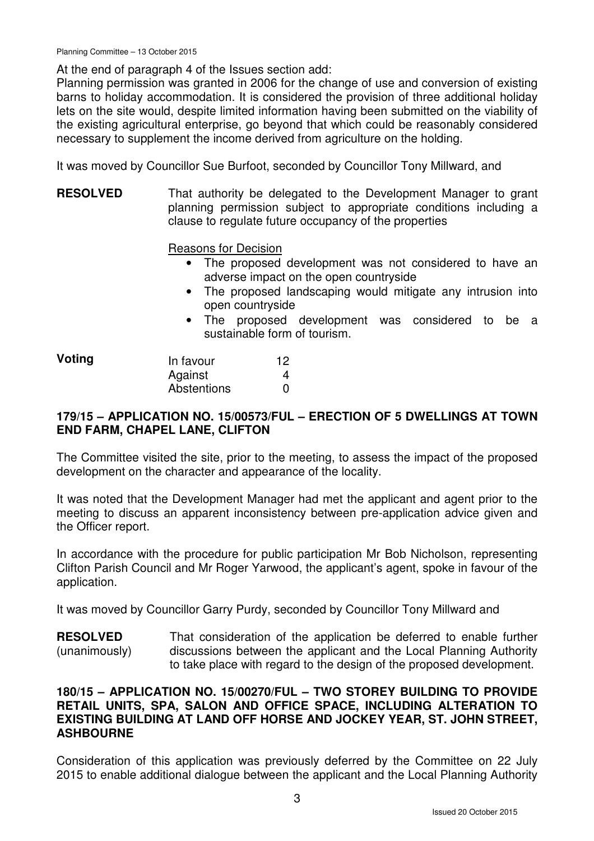At the end of paragraph 4 of the Issues section add:

Planning permission was granted in 2006 for the change of use and conversion of existing barns to holiday accommodation. It is considered the provision of three additional holiday lets on the site would, despite limited information having been submitted on the viability of the existing agricultural enterprise, go beyond that which could be reasonably considered necessary to supplement the income derived from agriculture on the holding.

It was moved by Councillor Sue Burfoot, seconded by Councillor Tony Millward, and

**RESOLVED** That authority be delegated to the Development Manager to grant planning permission subject to appropriate conditions including a clause to regulate future occupancy of the properties

Reasons for Decision

- The proposed development was not considered to have an adverse impact on the open countryside
- The proposed landscaping would mitigate any intrusion into open countryside
- The proposed development was considered to be a sustainable form of tourism.

| Voting | In favour   | 12 |
|--------|-------------|----|
|        | Against     |    |
|        | Abstentions |    |

# **179/15 – APPLICATION NO. 15/00573/FUL – ERECTION OF 5 DWELLINGS AT TOWN END FARM, CHAPEL LANE, CLIFTON**

The Committee visited the site, prior to the meeting, to assess the impact of the proposed development on the character and appearance of the locality.

It was noted that the Development Manager had met the applicant and agent prior to the meeting to discuss an apparent inconsistency between pre-application advice given and the Officer report.

In accordance with the procedure for public participation Mr Bob Nicholson, representing Clifton Parish Council and Mr Roger Yarwood, the applicant's agent, spoke in favour of the application.

It was moved by Councillor Garry Purdy, seconded by Councillor Tony Millward and

**RESOLVED** (unanimously) That consideration of the application be deferred to enable further discussions between the applicant and the Local Planning Authority to take place with regard to the design of the proposed development.

# **180/15 – APPLICATION NO. 15/00270/FUL – TWO STOREY BUILDING TO PROVIDE RETAIL UNITS, SPA, SALON AND OFFICE SPACE, INCLUDING ALTERATION TO EXISTING BUILDING AT LAND OFF HORSE AND JOCKEY YEAR, ST. JOHN STREET, ASHBOURNE**

Consideration of this application was previously deferred by the Committee on 22 July 2015 to enable additional dialogue between the applicant and the Local Planning Authority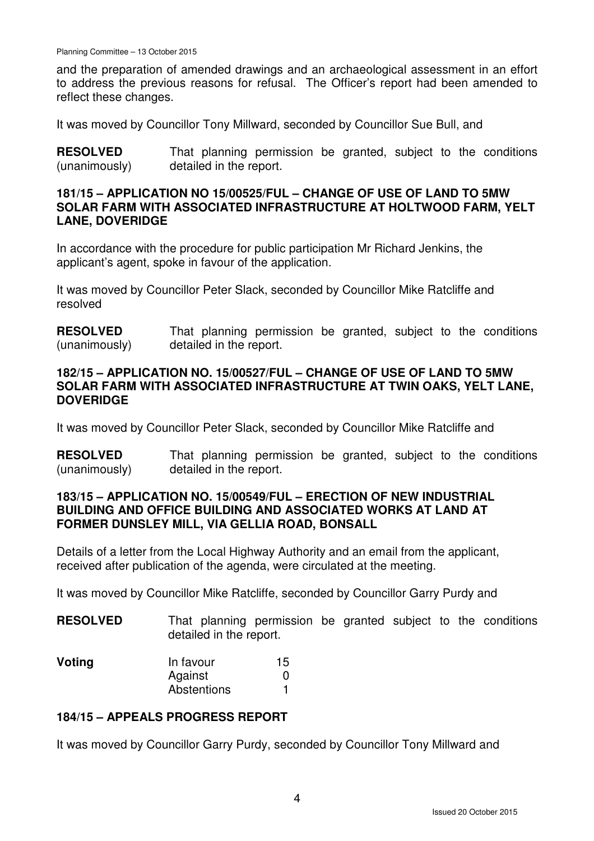and the preparation of amended drawings and an archaeological assessment in an effort to address the previous reasons for refusal. The Officer's report had been amended to reflect these changes.

It was moved by Councillor Tony Millward, seconded by Councillor Sue Bull, and

**RESOLVED** (unanimously) That planning permission be granted, subject to the conditions detailed in the report.

#### **181/15 – APPLICATION NO 15/00525/FUL – CHANGE OF USE OF LAND TO 5MW SOLAR FARM WITH ASSOCIATED INFRASTRUCTURE AT HOLTWOOD FARM, YELT LANE, DOVERIDGE**

In accordance with the procedure for public participation Mr Richard Jenkins, the applicant's agent, spoke in favour of the application.

It was moved by Councillor Peter Slack, seconded by Councillor Mike Ratcliffe and resolved

**RESOLVED** (unanimously) That planning permission be granted, subject to the conditions detailed in the report.

#### **182/15 – APPLICATION NO. 15/00527/FUL – CHANGE OF USE OF LAND TO 5MW SOLAR FARM WITH ASSOCIATED INFRASTRUCTURE AT TWIN OAKS, YELT LANE, DOVERIDGE**

It was moved by Councillor Peter Slack, seconded by Councillor Mike Ratcliffe and

**RESOLVED** (unanimously) That planning permission be granted, subject to the conditions detailed in the report.

## **183/15 – APPLICATION NO. 15/00549/FUL – ERECTION OF NEW INDUSTRIAL BUILDING AND OFFICE BUILDING AND ASSOCIATED WORKS AT LAND AT FORMER DUNSLEY MILL, VIA GELLIA ROAD, BONSALL**

Details of a letter from the Local Highway Authority and an email from the applicant, received after publication of the agenda, were circulated at the meeting.

It was moved by Councillor Mike Ratcliffe, seconded by Councillor Garry Purdy and

| <b>RESOLVED</b> |                         | That planning permission be granted subject to the conditions |  |  |  |
|-----------------|-------------------------|---------------------------------------------------------------|--|--|--|
|                 | detailed in the report. |                                                               |  |  |  |

| Voting | In favour   | 15 |
|--------|-------------|----|
|        | Against     |    |
|        | Abstentions |    |

## **184/15 – APPEALS PROGRESS REPORT**

It was moved by Councillor Garry Purdy, seconded by Councillor Tony Millward and